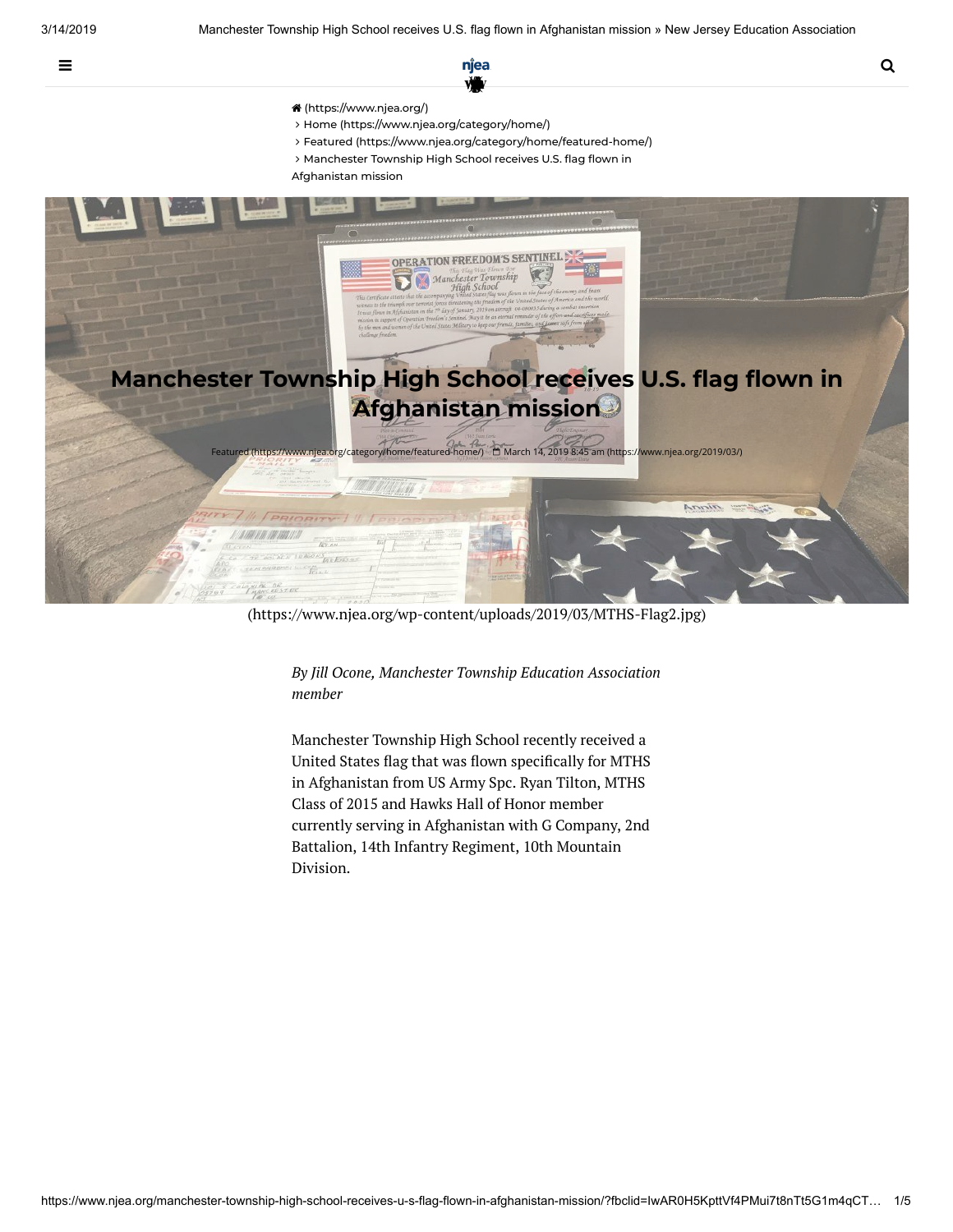

- [\(https://www.njea.org/\)](https://www.njea.org/)
- Home [\(https://www.njea.org/category/home/\)](https://www.njea.org/category/home/)
- Featured [\(https://www.njea.org/category/home/featured-home/\)](https://www.njea.org/category/home/featured-home/)
- > Manchester Township High School receives U.S. flag flown in
- Afghanistan mission



[\(https://www.njea.org/wp-content/uploads/2019/03/MTHS-Flag2.jpg\)](https://www.njea.org/wp-content/uploads/2019/03/MTHS-Flag2.jpg)

*By Jill Ocone, Manchester Township Education Association member*

Manchester Township High School recently received a United States flag that was flown specifically for MTHS in Afghanistan from US Army Spc. Ryan Tilton, MTHS Class of 2015 and Hawks Hall of Honor member currently serving in Afghanistan with G Company, 2nd Battalion, 14th Infantry Regiment, 10th Mountain Division.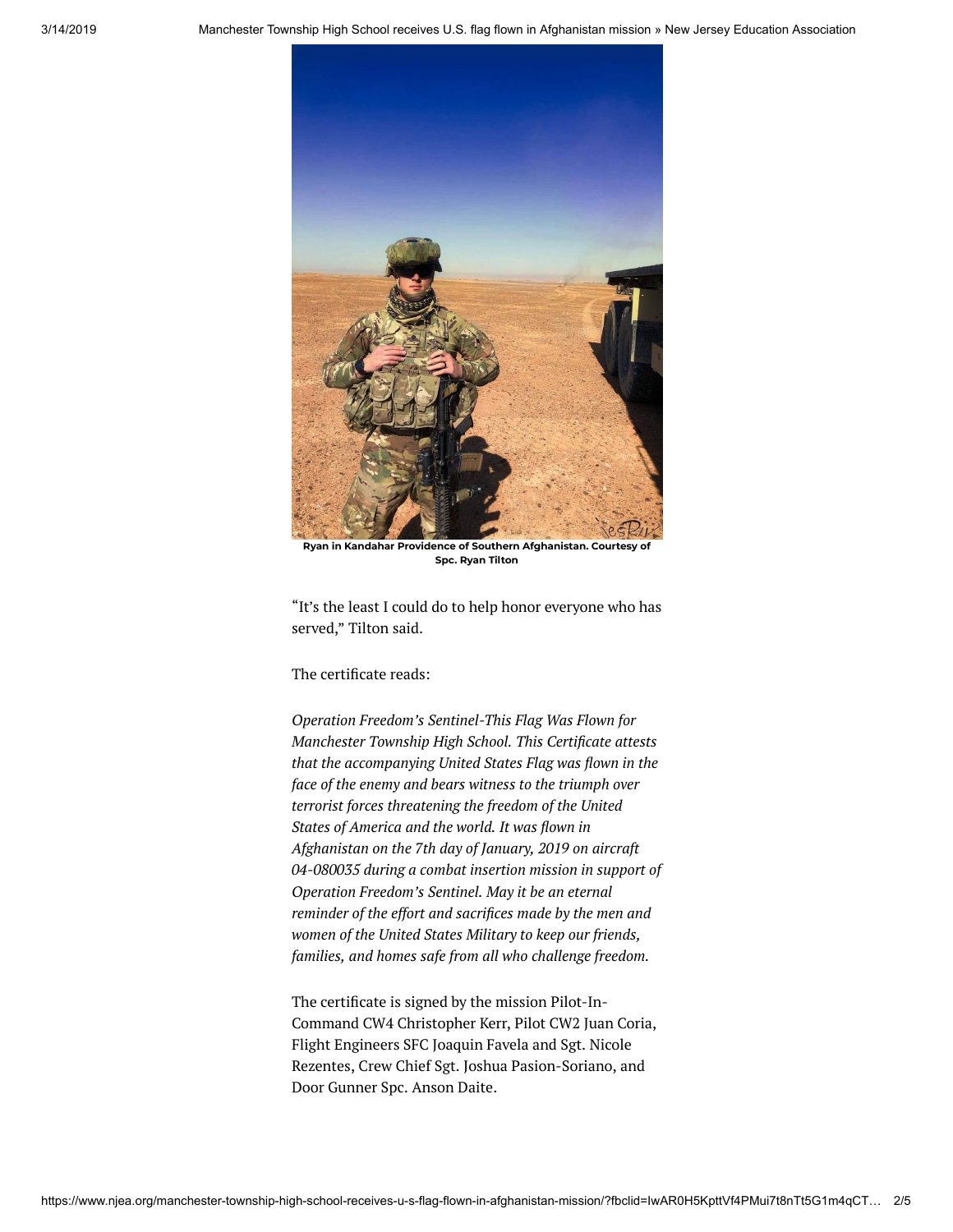

**Ryan in Kandahar Providence of Southern Afghanistan. Courtesy of Spc. Ryan Tilton**

"It's the least I could do to help honor everyone who has served," Tilton said.

The certificate reads:

*Operation Freedom's Sentinel-This Flag Was Flown for Manchester Township High School. This Certicate attests that the accompanying United States Flag was flown in the face of the enemy and bears witness to the triumph over terrorist forces threatening the freedom of the United States* of *America and the world. It was flown in Afghanistan on the 7th day of January, 2019 on aircraft 04-080035 during a combat insertion mission in support of Operation Freedom's Sentinel. May it be an eternal reminder of the effort and sacrifices made by the men and women of the United States Military to keep our friends, families, and homes safe from all who challenge freedom.*

The certificate is signed by the mission Pilot-In-Command CW4 Christopher Kerr, Pilot CW2 Juan Coria, Flight Engineers SFC Joaquin Favela and Sgt. Nicole Rezentes, Crew Chief Sgt. Joshua Pasion-Soriano, and Door Gunner Spc. Anson Daite.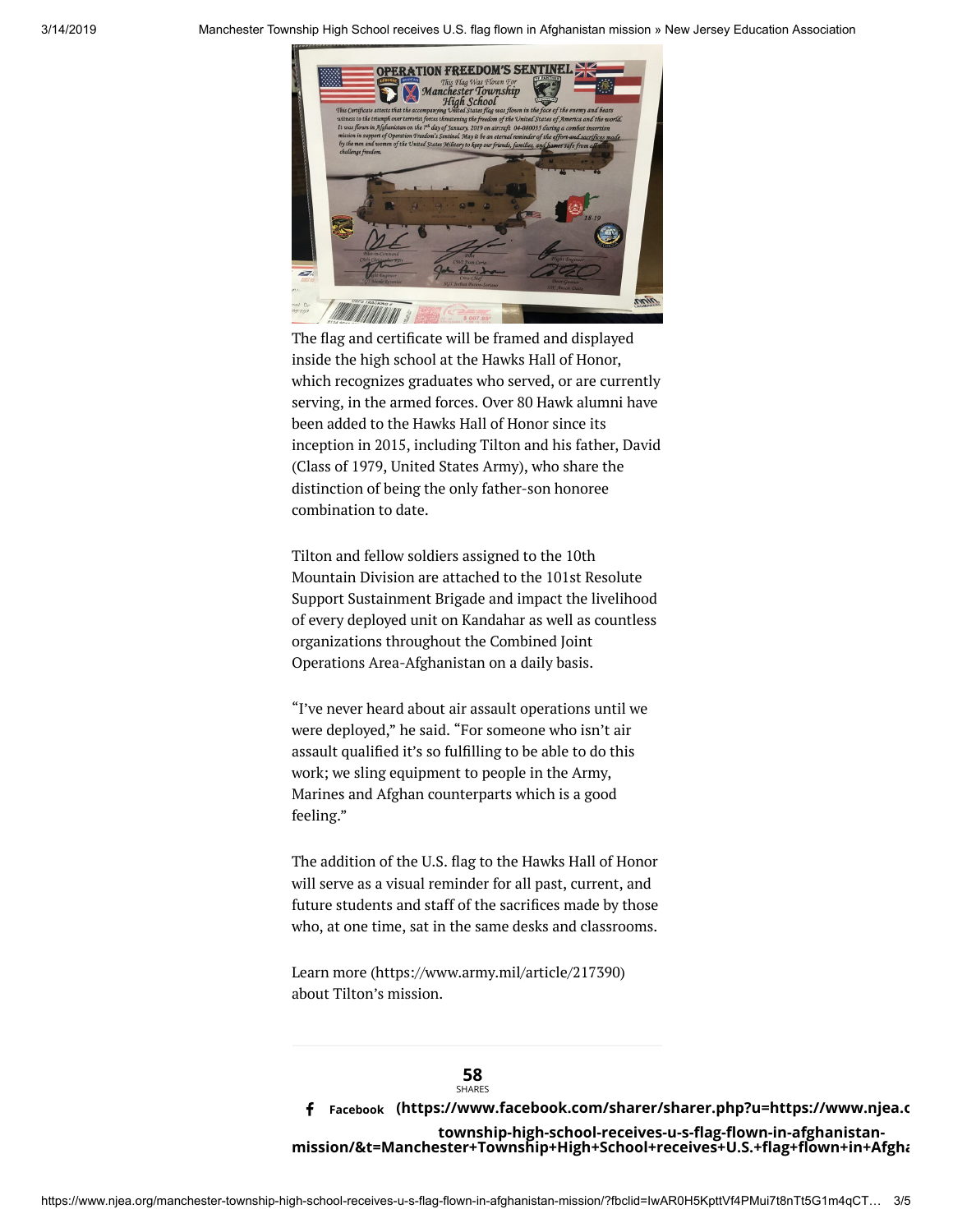

The flag and certificate will be framed and displayed inside the high school at the Hawks Hall of Honor, which recognizes graduates who served, or are currently serving, in the armed forces. Over 80 Hawk alumni have been added to the Hawks Hall of Honor since its inception in 2015, including Tilton and his father, David (Class of 1979, United States Army), who share the distinction of being the only father-son honoree combination to date.

Tilton and fellow soldiers assigned to the 10th Mountain Division are attached to the 101st Resolute Support Sustainment Brigade and impact the livelihood of every deployed unit on Kandahar as well as countless organizations throughout the Combined Joint Operations Area-Afghanistan on a daily basis.

"I've never heard about air assault operations until we were deployed," he said. "For someone who isn't air assault qualified it's so fulfilling to be able to do this work; we sling equipment to people in the Army, Marines and Afghan counterparts which is a good feeling."

The addition of the U.S. flag to the Hawks Hall of Honor will serve as a visual reminder for all past, current, and future students and staff of the sacrifices made by those who, at one time, sat in the same desks and classrooms.

Learn more [\(https://www.army.mil/article/217390\)](https://www.army.mil/article/217390) about Tilton's mission.

**58** SHARES  **(https://www.facebook.com/sharer/sharer.php?u=https://www.njea.o** a **Facebook**township-high-school-receives-u-s-flag-flown-in-afghanistanmission/&t=Manchester+Township+High+School+receives+U.S.+flag+flown+in+Afgha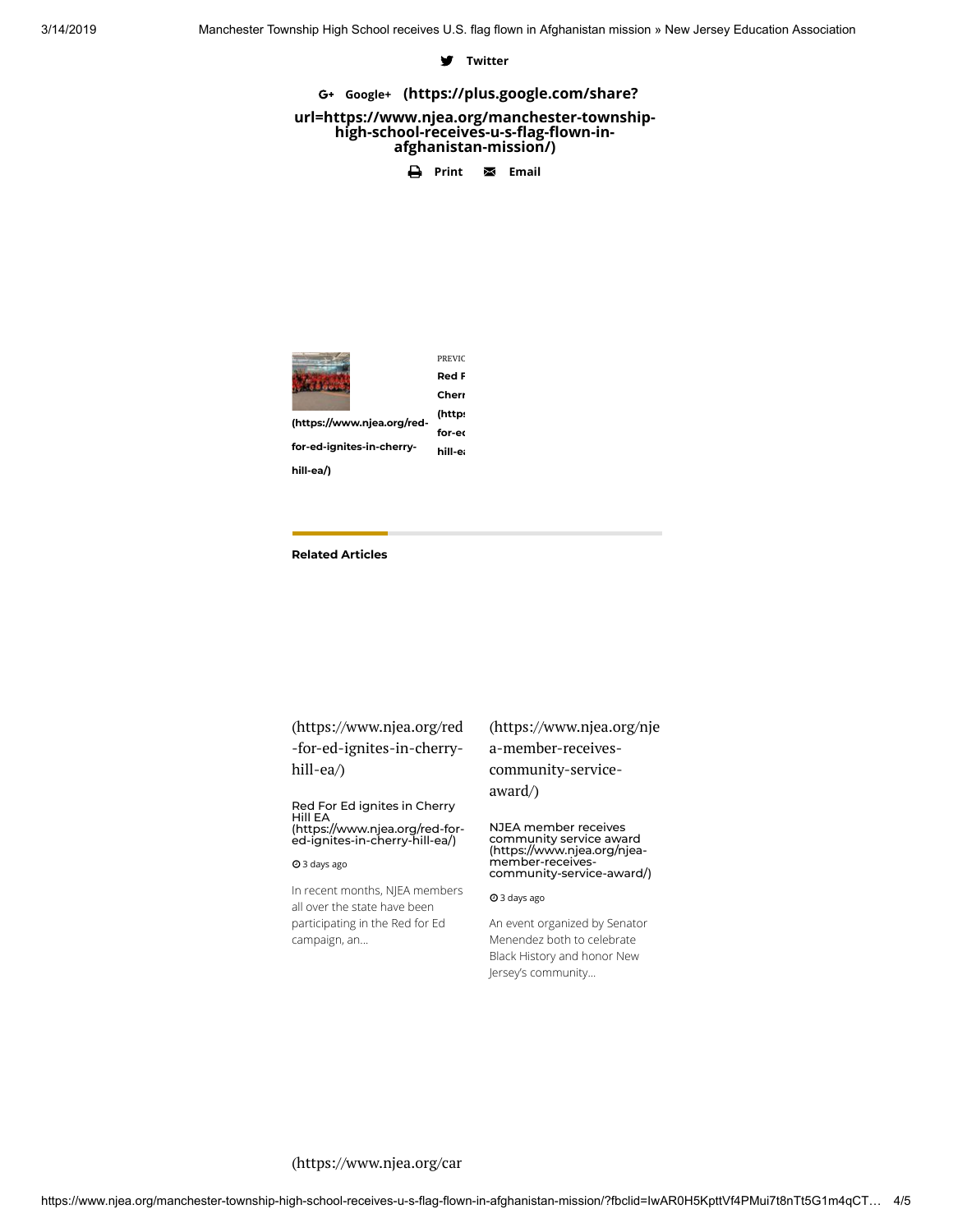## **d** Twitter

G+ Google+ (https://plus.google.com/share?

#### **[url=https://www.njea.org/manchester-township](https://plus.google.com/share?url=https://www.njea.org/manchester-township-high-school-receives-u-s-flag-flown-in-afghanistan-mission/)**high-school-receives-u-s-flag-flown-in**afghanistan-mission/)**

**e** Print **v Email** 



PREVIO **Red F Cherr (https [for-ed](https://www.njea.org/red-for-ed-ignites-in-cherry-hill-ea/)**

**for-ed-ignites-in-cherryhill-ea**

**[\(https://www.njea.org/red-](https://www.njea.org/red-for-ed-ignites-in-cherry-hill-ea/)**

**hill-ea/)**

### **Related Articles**

[\(https://www.njea.org/red](https://www.njea.org/red-for-ed-ignites-in-cherry-hill-ea/) -for-ed-ignites-in-cherryhill-ea/)

Red For Ed ignites in Cherry Hill EA [\(https://www.njea.org/red-for](https://www.njea.org/red-for-ed-ignites-in-cherry-hill-ea/)ed-ignites-in-cherry-hill-ea/)

#### 3 days ago

In recent months, NJEA members all over the state have been participating in the Red for Ed campaign, an...

[\(https://www.njea.org/nje](https://www.njea.org/njea-member-receives-community-service-award/) a-member-receivescommunity-serviceaward/)

NJEA member receives community service award (https://www.njea.org/njea- member-receives[community-service-award/\)](https://www.njea.org/njea-member-receives-community-service-award/)

3 days ago

An event organized by Senator Menendez both to celebrate Black History and honor New Jersey's community...

# [\(https://www.njea.org/car](https://www.njea.org/caring-for-students-and-staff-in-hamilton-township/)